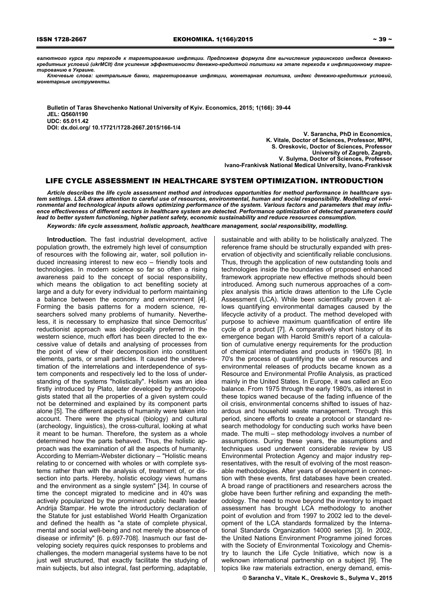валютного курса при переходе к таргетированию инфляции. Предложена формула для вычисления украинского индекса денежнокредитных условий (ukrMCIt) для усиления эффективности денежно-кредитной политики на этапе перехода к инфляционному тарге*тированию в Украине.* 

Ключевые слова: центральные банки, таргетирование инфляции, монетарная политика, индекс денежно-кредитных условий, *монетарные инструменты.* 

**Bulletin of Taras Shevchenko National University of Kyiv. Economics, 2015; 1(166): 39-44 JEL: Q560/I190 UDC: 65.011.42 DOI: dx.doi.org/ 10.17721/1728-2667.2015/166-1/4** 

**V. Sarancha, PhD in Economics, K. Vitale, Doctor of Sciences, Professor, MPH, S. Oreskovic, Doctor of Sciences, Professor University of Zagreb, Zagreb, V. Sulyma, Doctor of Sciences, Professor Ivano-Frankivsk National Medical University, Ivano-Frankivsk** 

# LIFE CYCLE ASSESSMENT IN HEALTHCARE SYSTEM OPTIMIZATION. INTRODUCTION

*Article describes the life cycle assessment method and introduces opportunities for method performance in healthcare system settings. LSA draws attention to careful use of resources, environmental, human and social responsibility. Modelling of environmental and technological inputs allows optimizing performance of the system. Various factors and parameters that may influence effectiveness of different sectors in healthcare system are detected. Performance optimization of detected parameters could lead to better system functioning, higher patient safety, economic sustainability and reduce resources consumption.* 

*Keywords: life cycle assessment, holistic approach, healthcare management, social responsibility, modelling.* 

**Introduction.** The fast industrial development, active population growth, the extremely high level of consumption of resources with the following air, water, soil pollution induced increasing interest to new eco – friendly tools and technologies. In modern science so far so often a rising awareness paid to the concept of social responsibility, which means the obligation to act benefiting society at large and a duty for every individual to perform maintaining a balance between the economy and environment [4]. Forming the basis patterns for a modern science, researchers solved many problems of humanity. Nevertheless, it is necessary to emphasize that since Democritus' reductionist approach was ideologically preferred in the western science, much effort has been directed to the excessive value of details and analysing of processes from the point of view of their decomposition into constituent elements, parts, or small particles. It caused the underestimation of the interrelations and interdependence of system components and respectively led to the loss of understanding of the systems "holistically". Holism was an idea firstly introduced by Plato, later developed by anthropologists stated that all the properties of a given system could not be determined and explained by its component parts alone [5]. The different aspects of humanity were taken into account. There were the physical (biology) and cultural (archeology, linguistics), the cross-cultural, looking at what it meant to be human. Therefore, the system as a whole determined how the parts behaved. Thus, the holistic approach was the examination of all the aspects of humanity. According to Merriam-Webster dictionary – "Holistic means relating to or concerned with wholes or with complete systems rather than with the analysis of, treatment of, or dissection into parts. Hereby, holistic ecology views humans and the environment as a single system" [34]. In course of time the concept migrated to medicine and in 40's was actively popularized by the prominent public health leader Andrija Stampar. He wrote the introductory declaration of the Statute for just established World Health Organization and defined the health as "a state of complete physical, mental and social well-being and not merely the absence of disease or infirmity" [6. p.697-708]. Inasmuch our fast developing society requires quick responses to problems and challenges, the modern managerial systems have to be not just well structured, that exactly facilitate the studying of main subjects, but also integral, fast performing, adaptable,

sustainable and with ability to be holistically analyzed. The reference frame should be structurally expanded with preservation of objectivity and scientifically reliable conclusions. Thus, through the application of new outstanding tools and technologies inside the boundaries of proposed enhanced framework appropriate new effective methods should been introduced. Among such numerous approaches of a complex analysis this article draws attention to the Life Cycle Assessment (LCA). While been scientifically proven it allows quantifying environmental damages caused by the lifecycle activity of a product. The method developed with purpose to achieve maximum quantification of entire life cycle of a product [7]. A comparatively short history of its emergence began with Harold Smith's report of a calculation of cumulative energy requirements for the production of chemical intermediates and products in 1960's [8]. In 70's the process of quantifying the use of resources and environmental releases of products became known as a Resource and Environmental Profile Analysis, as practiced mainly in the United States. In Europe, it was called an Eco balance. From 1975 through the early 1980's, as interest in these topics waned because of the fading influence of the oil crisis, environmental concerns shifted to issues of hazardous and household waste management. Through this period, sincere efforts to create a protocol or standard research methodology for conducting such works have been made. The multi – step methodology involves a number of assumptions. During these years, the assumptions and techniques used underwent considerable review by US Environmental Protection Agency and major industry representatives, with the result of evolving of the most reasonable methodologies. After years of development in connection with these events, first databases have been created. A broad range of practitioners and researchers across the globe have been further refining and expanding the methodology. The need to move beyond the inventory to impact assessment has brought LCA methodology to another point of evolution and from 1997 to 2002 led to the development of the LCA standards formalized by the International Standards Organization 14000 series [3]. In 2002, the United Nations Environment Programme joined forces with the Society of Environmental Toxicology and Chemistry to launch the Life Cycle Initiative, which now is a welknown international partnership on a subject [9]. The topics like raw materials extraction, energy demand, emis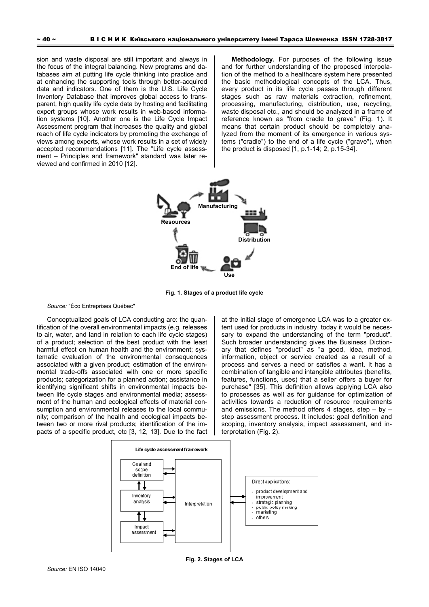sion and waste disposal are still important and always in the focus of the integral balancing. New programs and databases aim at putting life cycle thinking into practice and at enhancing the supporting tools through better-acquired data and indicators. One of them is the U.S. Life Cycle Inventory Database that improves global access to transparent, high quality life cycle data by hosting and facilitating expert groups whose work results in web-based information systems [10]. Another one is the Life Cycle Impact Assessment program that increases the quality and global reach of life cycle indicators by promoting the exchange of views among experts, whose work results in a set of widely accepted recommendations [11]. The "Life cycle assessment – Principles and framework" standard was later reviewed and confirmed in 2010 [12].

**Methodology.** For purposes of the following issue and for further understanding of the proposed interpolation of the method to a healthcare system here presented the basic methodological concepts of the LCA. Thus, every product in its life cycle passes through different stages such as raw materials extraction, refinement, processing, manufacturing, distribution, use, recycling, waste disposal etc., and should be analyzed in a frame of reference known as "from cradle to grave" (Fig. 1). It means that certain product should be completely analyzed from the moment of its emergence in various systems ("cradle") to the end of a life cycle ("grave"), when the product is disposed [1, p.1-14; 2, p.15-34].



**Fig. 1. Stages of a product life cycle** 

## *Source:* "Éco Entreprises Québec"

Conceptualized goals of LCA conducting are: the quantification of the overall environmental impacts (e.g. releases to air, water, and land in relation to each life cycle stages) of a product; selection of the best product with the least harmful effect on human health and the environment; systematic evaluation of the environmental consequences associated with a given product; estimation of the environmental trade-offs associated with one or more specific products; categorization for a planned action; assistance in identifying significant shifts in environmental impacts between life cycle stages and environmental media; assessment of the human and ecological effects of material consumption and environmental releases to the local community; comparison of the health and ecological impacts between two or more rival products; identification of the impacts of a specific product, etc [3, 12, 13]. Due to the fact

at the initial stage of emergence LCA was to a greater extent used for products in industry, today it would be necessary to expand the understanding of the term "product". Such broader understanding gives the Business Dictionary that defines "product" as "a good, idea, method, information, object or service created as a result of a process and serves a need or satisfies a want. It has a combination of tangible and intangible attributes (benefits, features, functions, uses) that a seller offers a buyer for purchase" [35]. This definition allows applying LCA also to processes as well as for guidance for optimization of activities towards a reduction of resource requirements and emissions. The method offers 4 stages, step  $-$  by  $$ step assessment process. It includes: goal definition and scoping, inventory analysis, impact assessment, and interpretation (Fig. 2).

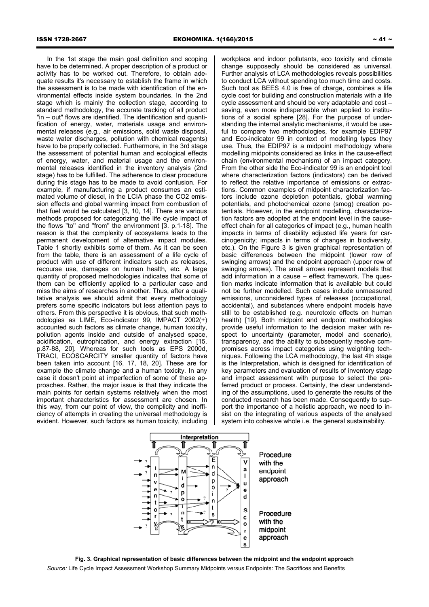In the 1st stage the main goal definition and scoping have to be determined. A proper description of a product or activity has to be worked out. Therefore, to obtain adequate results it's necessary to establish the frame in which the assessment is to be made with identification of the environmental effects inside system boundaries. In the 2nd stage which is mainly the collection stage, according to standard methodology, the accurate tracking of all product "in – out" flows are identified. The identification and quantification of energy, water, materials usage and environmental releases (e.g., air emissions, solid waste disposal, waste water discharges, pollution with chemical reagents) have to be properly collected. Furthermore, in the 3rd stage the assessment of potential human and ecological effects of energy, water, and material usage and the environmental releases identified in the inventory analysis (2nd stage) has to be fulfilled. The adherence to clear procedure during this stage has to be made to avoid confusion. For example, if manufacturing a product consumes an estimated volume of diesel, in the LCIA phase the CO2 emission effects and global warming impact from combustion of that fuel would be calculated [3, 10, 14]. There are various methods proposed for categorizing the life cycle impact of the flows "to'' and ''from'' the environment [3. p.1-18]. The reason is that the complexity of ecosystems leads to the permanent development of alternative impact modules. Table 1 shortly exhibits some of them. As it can be seen from the table, there is an assessment of a life cycle of product with use of different indicators such as releases, recourse use, damages on human health, etc. A large quantity of proposed methodologies indicates that some of them can be efficiently applied to a particular case and miss the aims of researches in another. Thus, after a qualitative analysis we should admit that every methodology prefers some specific indicators but less attention pays to others. From this perspective it is obvious, that such methodologies as LIME, Eco-indicator 99, IMPACT 2002(+) accounted such factors as climate change, human toxicity, pollution agents inside and outside of analysed space, acidification, eutrophication, and energy extraction [15. p.87-88, 20]. Whereas for such tools as EPS 2000d, TRACI, ECOSCARCITY smaller quantity of factors have been taken into account [16, 17, 18, 20]. These are for example the climate change and a human toxicity. In any case it doesn't point at imperfection of some of these approaches. Rather, the major issue is that they indicate the main points for certain systems relatively when the most important characteristics for assessment are chosen. In this way, from our point of view, the complicity and inefficiency of attempts in creating the universal methodology is evident. However, such factors as human toxicity, including

workplace and indoor pollutants, eco toxicity and climate change supposedly should be considered as universal. Further analysis of LCA methodologies reveals possibilities to conduct LCA without spending too much time and costs. Such tool as BEES 4.0 is free of charge, combines a life cycle cost for building and construction materials with a life cycle assessment and should be very adaptable and cost – saving, even more indispensable when applied to institutions of a social sphere [28]. For the purpose of understanding the internal analytic mechanisms, it would be useful to compare two methodologies, for example EDIP97 and Eco-indicator 99 in context of modelling types they use. Thus, the EDIP97 is a midpoint methodology where modelling midpoints considered as links in the cause-effect chain (environmental mechanism) of an impact category. From the other side the Eco-indicator 99 is an endpoint tool where characterization factors (indicators) can be derived to reflect the relative importance of emissions or extractions. Common examples of midpoint characterization factors include ozone depletion potentials, global warming potentials, and photochemical ozone (smog) creation potentials. However, in the endpoint modelling, characterization factors are adopted at the endpoint level in the causeeffect chain for all categories of impact (e.g., human health impacts in terms of disability adjusted life years for carcinogenicity; impacts in terms of changes in biodiversity, etc.). On the Figure 3 is given graphical representation of basic differences between the midpoint (lower row of swinging arrows) and the endpoint approach (upper row of swinging arrows). The small arrows represent models that add information in a cause – effect framework. The question marks indicate information that is available but could not be further modelled. Such cases include unmeasured emissions, unconsidered types of releases (occupational, accidental), and substances where endpoint models have still to be established (e.g. neurotoxic effects on human health) [19]. Both midpoint and endpoint methodologies provide useful information to the decision maker with respect to uncertainty (parameter, model and scenario), transparency, and the ability to subsequently resolve compromises across impact categories using weighting techniques. Following the LCA methodology, the last 4th stage is the Interpretation, which is designed for identification of key parameters and evaluation of results of inventory stage and impact assessment with purpose to select the preferred product or process. Certainly, the clear understanding of the assumptions, used to generate the results of the conducted research has been made. Consequently to support the importance of a holistic approach, we need to insist on the integrating of various aspects of the analysed system into cohesive whole i.e. the general sustainability.



**Fig. 3. Graphical representation of basic differences between the midpoint and the endpoint approach**  *Source:* Life Cycle Impact Assessment Workshop Summary Midpoints versus Endpoints: The Sacrifices and Benefits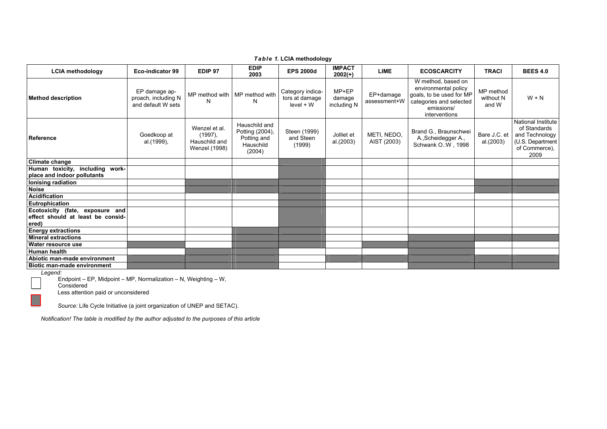| <b>LCIA methodology</b>                                              | Eco-indicator 99                                           | EDIP <sub>97</sub>                                         | <b>EDIP</b><br>2003                                                    | <b>EPS 2000d</b>                                  | <b>IMPACT</b><br>$2002(+)$     | <b>LIME</b>                | <b>ECOSCARCITY</b>                                                                                                               | <b>TRACI</b>                    | <b>BEES 4.0</b>                                                                                   |
|----------------------------------------------------------------------|------------------------------------------------------------|------------------------------------------------------------|------------------------------------------------------------------------|---------------------------------------------------|--------------------------------|----------------------------|----------------------------------------------------------------------------------------------------------------------------------|---------------------------------|---------------------------------------------------------------------------------------------------|
| <b>Method description</b>                                            | EP damage ap-<br>proach, including N<br>and default W sets | MP method with<br>Ν                                        | MP method with<br>N                                                    | Category indica-<br>tors at damage<br>$level + W$ | MP+EP<br>damage<br>including N | EP+damage<br>assessment+W  | W method, based on<br>environmental policy<br>goals, to be used for MP<br>categories and selected<br>emissions/<br>interventions | MP method<br>without N<br>and W | $W + N$                                                                                           |
| <b>Reference</b>                                                     | Goedkoop at<br>al.(1999),                                  | Wenzel et al.<br>(1997),<br>Hauschild and<br>Wenzel (1998) | Hauschild and<br>Potting (2004),<br>Potting and<br>Hauschild<br>(2004) | Steen (1999)<br>and Steen<br>(1999)               | Jolliet et<br>al.(2003)        | METI, NEDO,<br>AIST (2003) | Brand G., Braunschwei<br>A., Scheidegger A.,<br>Schwank O.: W, 1998                                                              | Bare J.C. et<br>al.(2003)       | National Institute<br>of Standards<br>and Technology<br>(U.S. Department<br>of Commerce),<br>2009 |
| Climate change                                                       |                                                            |                                                            |                                                                        |                                                   |                                |                            |                                                                                                                                  |                                 |                                                                                                   |
| Human toxicity, including work-                                      |                                                            |                                                            |                                                                        |                                                   |                                |                            |                                                                                                                                  |                                 |                                                                                                   |
| place and indoor pollutants                                          |                                                            |                                                            |                                                                        |                                                   |                                |                            |                                                                                                                                  |                                 |                                                                                                   |
| lonising radiation                                                   |                                                            |                                                            |                                                                        |                                                   |                                |                            |                                                                                                                                  |                                 |                                                                                                   |
| <b>Noise</b>                                                         |                                                            |                                                            |                                                                        |                                                   |                                |                            |                                                                                                                                  |                                 |                                                                                                   |
| Acidification                                                        |                                                            |                                                            |                                                                        |                                                   |                                |                            |                                                                                                                                  |                                 |                                                                                                   |
| Eutrophication                                                       |                                                            |                                                            |                                                                        |                                                   |                                |                            |                                                                                                                                  |                                 |                                                                                                   |
| Ecotoxicity (fate, exposure and<br>effect should at least be consid- |                                                            |                                                            |                                                                        |                                                   |                                |                            |                                                                                                                                  |                                 |                                                                                                   |
| ered)                                                                |                                                            |                                                            |                                                                        |                                                   |                                |                            |                                                                                                                                  |                                 |                                                                                                   |
| <b>Energy extractions</b>                                            |                                                            |                                                            |                                                                        |                                                   |                                |                            |                                                                                                                                  |                                 |                                                                                                   |
| <b>Mineral extractions</b>                                           |                                                            |                                                            |                                                                        |                                                   |                                |                            |                                                                                                                                  |                                 |                                                                                                   |
| Water resource use                                                   |                                                            |                                                            |                                                                        |                                                   |                                |                            |                                                                                                                                  |                                 |                                                                                                   |
| <b>Human health</b>                                                  |                                                            |                                                            |                                                                        |                                                   |                                |                            |                                                                                                                                  |                                 |                                                                                                   |
| Abiotic man-made environment                                         |                                                            |                                                            |                                                                        |                                                   |                                |                            |                                                                                                                                  |                                 |                                                                                                   |
| Biotic man-made environment                                          |                                                            |                                                            |                                                                        |                                                   |                                |                            |                                                                                                                                  |                                 |                                                                                                   |

*Table 1.* **LCIA methodology** 

*Legend:* 

Endpoint – EP, Midpoint – MP, Normalization – N, Weighting – W, Considered

Less attention paid or unconsidered

*Source:* Life Cycle Initiative (a joint organization of UNEP and SETAC).

*Notification! The table is modified by the author adjusted to the purposes of this article*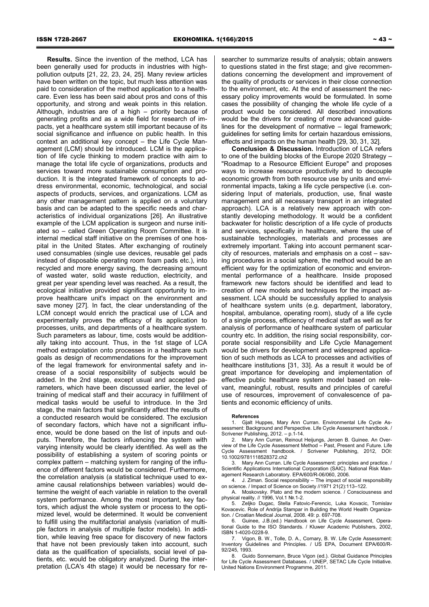searcher to summarize results of analysis; obtain answers to questions stated in the first stage; and give recommendations concerning the development and improvement of the quality of products or services in their close connection to the environment, etc. At the end of assessment the necessary policy improvements would be formulated. In some cases the possibility of changing the whole life cycle of a product would be considered. All described innovations would be the drivers for creating of more advanced guidelines for the development of normative – legal framework;

effects and impacts on the human health [29, 30, 31, 32]. **Conclusion & Discussion.** Introduction of LCA refers to one of the building blocks of the Europe 2020 Strategy – "Roadmap to a Resource Efficient Europe" and proposes ways to increase resource productivity and to decouple economic growth from both resource use by units and environmental impacts, taking a life cycle perspective (i.e. considering Input of materials, production, use, final waste management and all necessary transport in an integrated approach). LCA is a relatively new approach with constantly developing methodology. It would be a confident backwater for holistic description of a life cycle of products and services, specifically in healthcare, where the use of sustainable technologies, materials and processes are extremely important. Taking into account permanent scarcity of resources, materials and emphasis on a cost – saving procedures in a social sphere, the method would be an efficient way for the optimization of economic and environmental performance of a healthcare. Inside proposed framework new factors should be identified and lead to creation of new models and techniques for the impact assessment. LCA should be successfully applied to analysis of healthcare system units (e.g. department, laboratory, hospital, ambulance, operating room), study of a life cycle of a single process, efficiency of medical staff as well as for analysis of performance of healthcare system of particular country etc. In addition, the rising social responsibility, corporate social responsibility and Life Cycle Management would be drivers for development and widespread application of such methods as LCA to processes and activities of healthcare institutions [31, 33]. As a result it would be of great importance for developing and implementation of effective public healthcare system model based on relevant, meaningful, robust, results and principles of careful use of resources, improvement of convalescence of patients and economic efficiency of units.

guidelines for setting limits for certain hazardous emissions,

#### **References**

1. Gjalt Huppes, Mary Ann Curran. Environmental Life Cycle Assessment: Background and Perspective. Life Cycle Assessment handbook. / Scrivener Publishing, 2012. – p.1-14.

2. Mary Ann Curran, Reinout Heijungs, Jeroen B. Guinee. An Overview of the Life Cycle Assessment Method – Past, Present and Future. Life Cycle Assessment handbook. / Scrivener Publishing, 2012, DOI: 10.1002/9781118528372.ch2

3. Mary Ann Curran. Life Cycle Assessment: principles and practice. / Scientific Applications International Corporation (SAIC). National Risk Management Research Laboratory. EPA/600/R-06/060, 2006.

4. J. Ziman. Social responsibility – The impact of social responsibility on science. / Impact of Science on Society //1971 21(2):113–122.

A. Moskovsky. Plato and the modern science. / Consciousness and physical reality. // 1996, Vol.1 №.1-2.

5. Zeljko Dugac, Stella Fatovic-Ferencic, Luka Kovacic, Tomislav Kovacevic. Role of Andrija Stampar in Building the World Health Organization. / Croatian Medical Journal, 2008. 49: p. 697-708.

6. Guinee, J.B.(ed.) Handbook on Life Cycle Assessment, Operational Guide to the ISO Standards. / Kluwer Academic Publishers, 2002, **ISBN 1-4020-0228-9.**<br>7 Vigon B W

Vigon, B. W., Tolle, D. A., Cornary, B. W. Life Cycle Assessment: Inventory Guidelines and Principles. / US EPA, Document EPA/600/R-92/245, 1993.

8. Guido Sonnemann, Bruce Vigon (ed.). Global Guidance Principles for Life Cycle Assessment Databases. / UNEP, SETAC Life Cycle Initiative. United Nations Environment Programme, 2011.

pollution outputs [21, 22, 23, 24, 25]. Many review articles have been written on the topic, but much less attention was paid to consideration of the method application to a healthcare. Even less has been said about pros and cons of this opportunity, and strong and weak points in this relation. Although, industries are of a high – priority because of generating profits and as a wide field for research of impacts, yet a healthcare system still important because of its social significance and influence on public health. In this context an additional key concept – the Life Cycle Management (LCM) should be introduced. LCM is the application of life cycle thinking to modern practice with aim to manage the total life cycle of organizations, products and services toward more sustainable consumption and production. It is the integrated framework of concepts to address environmental, economic, technological, and social aspects of products, services, and organizations. LCM as any other management pattern is applied on a voluntary basis and can be adapted to the specific needs and characteristics of individual organizations [26]. An illustrative example of the LCM application is surgeon and nurse initiated so – called Green Operating Room Committee. It is internal medical staff initiative on the premises of one hospital in the United States. After exchanging of routinely used consumables (single use devices, reusable gel pads instead of disposable operating room foam pads etc.), into recycled and more energy saving, the decreasing amount of wasted water, solid waste reduction, electricity, and great per year spending level was reached. As a result, the ecological initiative provided significant opportunity to improve healthcare unit's impact on the environment and save money [27]. In fact, the clear understanding of the LCM concept would enrich the practical use of LCA and experimentally proves the efficacy of its application to processes, units, and departments of a healthcare system. Such parameters as labour, time, costs would be additionally taking into account. Thus, in the 1st stage of LCA method extrapolation onto processes in a healthcare such goals as design of recommendations for the improvement of the legal framework for environmental safety and increase of a social responsibility of subjects would be added. In the 2nd stage, except usual and accepted parameters, which have been discussed earlier, the level of training of medical staff and their accuracy in fulfillment of medical tasks would be useful to introduce. In the 3rd stage, the main factors that significantly affect the results of a conducted research would be considered. The exclusion of secondary factors, which have not a significant influence, would be done based on the list of inputs and outputs. Therefore, the factors influencing the system with varying intensity would be clearly identified. As well as the possibility of establishing a system of scoring points or complex pattern – matching system for ranging of the influence of different factors would be considered. Furthermore, the correlation analysis (a statistical technique used to examine causal relationships between variables) would determine the weight of each variable in relation to the overall system performance. Among the most important, key factors, which adjust the whole system or process to the optimized level, would be determined. It would be convenient to fulfill using the multifactorial analysis (variation of multiple factors in analysis of multiple factor models). In addition, while leaving free space for discovery of new factors that have not been previously taken into account, such data as the qualification of specialists, social level of patients, etc. would be obligatory analyzed. During the interpretation (LCA's 4th stage) it would be necessary for re-

**Results.** Since the invention of the method, LCA has been generally used for products in industries with high-